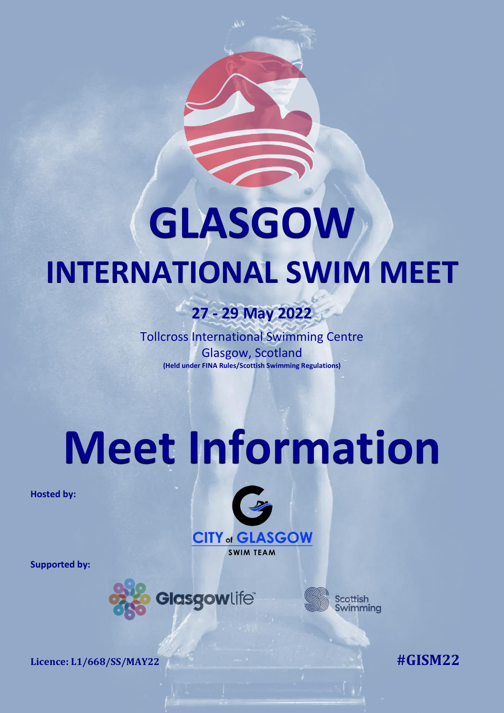# **GLASGOW INTERNATIONAL SWIM MEET**

**27 - 29 May 2022**

Tollcross International Swimming Centre Glasgow, Scotland **(Held under FINA Rules/Scottish Swimming Regulations)**

# **Meet Information**

**Hosted by:**



**Supported by:**



**Scottish Swimming** 

**Licence: L1/668/SS/MAY22 #GISM22**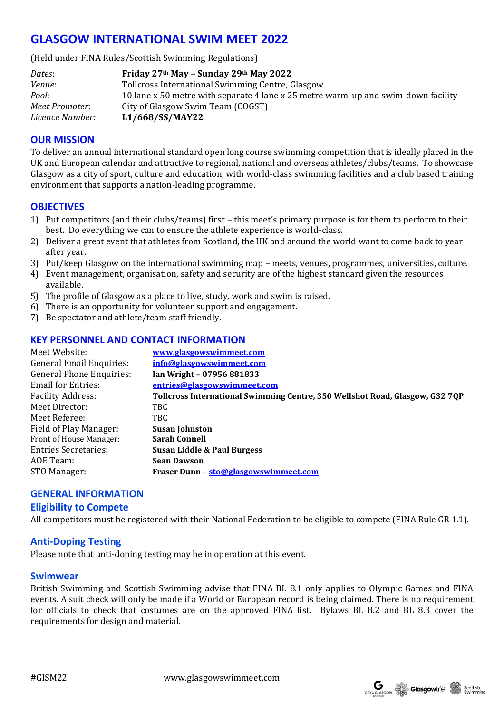### **GLASGOW INTERNATIONAL SWIM MEET 2022**

(Held under FINA Rules/Scottish Swimming Regulations)

| Dates:          | Friday 27th May - Sunday 29th May 2022                                            |
|-----------------|-----------------------------------------------------------------------------------|
| Venue:          | Tollcross International Swimming Centre, Glasgow                                  |
| Pool:           | 10 lane x 50 metre with separate 4 lane x 25 metre warm-up and swim-down facility |
| Meet Promoter:  | City of Glasgow Swim Team (COGST)                                                 |
| Licence Number: | L1/668/SS/MAY22                                                                   |

#### **OUR MISSION**

To deliver an annual international standard open long course swimming competition that is ideally placed in the UK and European calendar and attractive to regional, national and overseas athletes/clubs/teams. To showcase Glasgow as a city of sport, culture and education, with world-class swimming facilities and a club based training environment that supports a nation-leading programme.

#### **OBJECTIVES**

- 1) Put competitors (and their clubs/teams) first this meet's primary purpose is for them to perform to their best. Do everything we can to ensure the athlete experience is world-class.
- 2) Deliver a great event that athletes from Scotland, the UK and around the world want to come back to year after year.
- 3) Put/keep Glasgow on the international swimming map meets, venues, programmes, universities, culture.
- 4) Event management, organisation, safety and security are of the highest standard given the resources available.
- 5) The profile of Glasgow as a place to live, study, work and swim is raised.
- 6) There is an opportunity for volunteer support and engagement.
- 7) Be spectator and athlete/team staff friendly.

#### **KEY PERSONNEL AND CONTACT INFORMATION**

| Meet Website:                   | www.glasgowswimmeet.com                                                      |
|---------------------------------|------------------------------------------------------------------------------|
| <b>General Email Enquiries:</b> | info@glasgowswimmeet.com                                                     |
| <b>General Phone Enquiries:</b> | Ian Wright - 07956 881833                                                    |
| <b>Email for Entries:</b>       | entries@glasgowswimmeet.com                                                  |
| <b>Facility Address:</b>        | Tollcross International Swimming Centre, 350 Wellshot Road, Glasgow, G32 7QP |
| Meet Director:                  | TBC.                                                                         |
| Meet Referee:                   | TBC.                                                                         |
| Field of Play Manager:          | <b>Susan Johnston</b>                                                        |
| <b>Front of House Manager:</b>  | <b>Sarah Connell</b>                                                         |
| <b>Entries Secretaries:</b>     | Susan Liddle & Paul Burgess                                                  |
| AOE Team:                       | <b>Sean Dawson</b>                                                           |
| STO Manager:                    | Fraser Dunn - sto@glasgowswimmeet.com                                        |

## **GENERAL INFORMATION**

#### **Eligibility to Compete**

All competitors must be registered with their National Federation to be eligible to compete (FINA Rule GR 1.1).

#### **Anti-Doping Testing**

Please note that anti-doping testing may be in operation at this event.

#### **Swimwear**

British Swimming and Scottish Swimming advise that FINA BL 8.1 only applies to Olympic Games and FINA events. A suit check will only be made if a World or European record is being claimed. There is no requirement for officials to check that costumes are on the approved FINA list. Bylaws BL 8.2 and BL 8.3 cover the requirements for design and material.

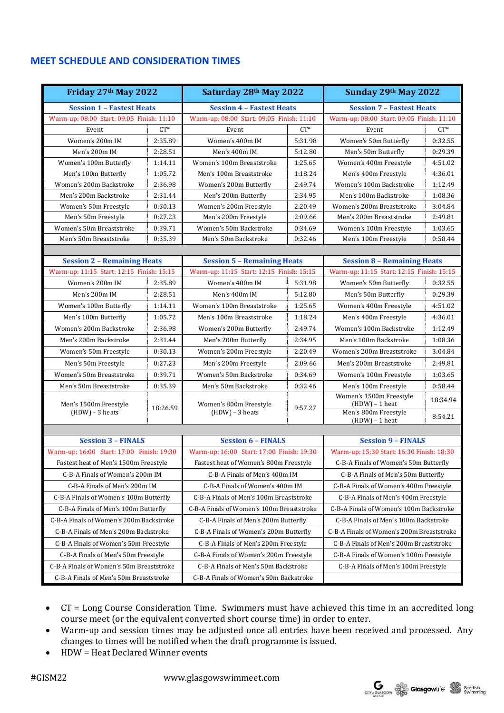#### **MEET SCHEDULE AND CONSIDERATION TIMES**

| Friday 27th May 2022                      |          | Saturday 28th May 2022                      |         | Sunday 29th May 2022                        |          |  |
|-------------------------------------------|----------|---------------------------------------------|---------|---------------------------------------------|----------|--|
| <b>Session 1 - Fastest Heats</b>          |          | <b>Session 4 - Fastest Heats</b>            |         | <b>Session 7 - Fastest Heats</b>            |          |  |
| Warm-up: 08:00 Start: 09:05 Finish: 11:10 |          | Warm-up: 08:00 Start: 09:05 Finish: 11:10   |         | Warm-up: 08:00 Start: 09:05 Finish: 11:10   |          |  |
| Event                                     | $CT^*$   | Event                                       | $CT^*$  | Event                                       | $CT^*$   |  |
| Women's 200m IM                           | 2:35.89  | Women's 400m IM                             | 5:31.98 | Women's 50m Butterfly                       | 0:32.55  |  |
| Men's 200m IM                             | 2:28.51  | Men's 400m IM                               | 5:12.80 | Men's 50m Butterfly                         | 0:29.39  |  |
| Women's 100m Butterfly                    | 1:14.11  | Women's 100m Breaststroke                   | 1:25.65 | Women's 400m Freestyle                      | 4:51.02  |  |
| Men's 100m Butterfly                      | 1:05.72  | Men's 100m Breaststroke                     | 1:18.24 | Men's 400m Freestyle                        | 4:36.01  |  |
| Women's 200m Backstroke                   | 2:36.98  | Women's 200m Butterfly                      | 2:49.74 | Women's 100m Backstroke                     | 1:12.49  |  |
| Men's 200m Backstroke                     | 2:31.44  | Men's 200m Butterfly                        | 2:34.95 | Men's 100m Backstroke                       | 1:08.36  |  |
| Women's 50m Freestyle                     | 0:30.13  | Women's 200m Freestyle                      | 2:20.49 | Women's 200m Breaststroke                   | 3:04.84  |  |
| Men's 50m Freestyle                       | 0:27.23  | Men's 200m Freestyle                        | 2:09.66 | Men's 200m Breaststroke                     | 2:49.81  |  |
| Women's 50m Breaststroke                  | 0:39.71  | Women's 50m Backstroke                      | 0:34.69 | Women's 100m Freestyle                      | 1:03.65  |  |
| Men's 50m Breaststroke                    | 0:35.39  | Men's 50m Backstroke                        | 0:32.46 | Men's 100m Freestyle                        | 0:58.44  |  |
|                                           |          |                                             |         |                                             |          |  |
| <b>Session 2 - Remaining Heats</b>        |          | <b>Session 5 - Remaining Heats</b>          |         | <b>Session 8 - Remaining Heats</b>          |          |  |
| Warm-up: 11:15 Start: 12:15 Finish: 15:15 |          | Warm-up: 11:15 Start: 12:15 Finish: 15:15   |         | Warm-up: 11:15 Start: 12:15 Finish: 15:15   |          |  |
| Women's 200m IM                           | 2:35.89  | Women's 400m IM                             | 5:31.98 | Women's 50m Butterfly                       | 0:32.55  |  |
| Men's 200m IM                             | 2:28.51  | Men's 400m IM                               | 5:12.80 | Men's 50m Butterfly                         | 0:29.39  |  |
| Women's 100m Butterfly                    | 1:14.11  | Women's 100m Breaststroke                   | 1:25.65 | Women's 400m Freestyle                      | 4:51.02  |  |
| Men's 100m Butterfly                      | 1:05.72  | Men's 100m Breaststroke                     | 1:18.24 | Men's 400m Freestyle                        | 4:36.01  |  |
| Women's 200m Backstroke                   | 2:36.98  | Women's 200m Butterfly                      | 2:49.74 | Women's 100m Backstroke                     | 1:12.49  |  |
| Men's 200m Backstroke                     | 2:31.44  | Men's 200m Butterfly                        | 2:34.95 | Men's 100m Backstroke                       | 1:08.36  |  |
| Women's 50m Freestyle                     | 0:30.13  | Women's 200m Freestyle                      | 2:20.49 | Women's 200m Breaststroke                   | 3:04.84  |  |
| Men's 50m Freestyle                       | 0:27.23  | Men's 200m Freestyle                        | 2:09.66 | Men's 200m Breaststroke                     | 2:49.81  |  |
| Women's 50m Breaststroke                  | 0:39.71  | Women's 50m Backstroke                      | 0:34.69 | Women's 100m Freestyle                      | 1:03.65  |  |
| Men's 50m Breaststroke                    | 0:35.39  | Men's 50m Backstroke                        | 0:32.46 | Men's 100m Freestyle                        | 0:58.44  |  |
| Men's 1500m Freestyle                     |          | Women's 800m Freestyle<br>$(HDW) - 3$ heats | 9:57.27 | Women's 1500m Freestyle<br>$(HDW) - 1$ heat | 18:34.94 |  |
| $(HDW) - 3$ heats                         | 18:26.59 |                                             |         | Men's 800m Freestyle                        | 8:54.21  |  |
|                                           |          |                                             |         | $(HDW) - 1$ heat                            |          |  |
| <b>Session 3 - FINALS</b>                 |          | <b>Session 6 - FINALS</b>                   |         | <b>Session 9 - FINALS</b>                   |          |  |
| Warm-up: 16:00 Start: 17:00 Finish: 19:30 |          | Warm-up: 16:00 Start: 17:00 Finish: 19:30   |         | Warm-up: 15:30 Start: 16:30 Finish: 18:30   |          |  |
| Fastest heat of Men's 1500m Freestyle     |          | Fastest heat of Women's 800m Freestyle      |         | C-B-A Finals of Women's 50m Butterfly       |          |  |
| C-B-A Finals of Women's 200m IM           |          |                                             |         |                                             |          |  |
|                                           |          | C-B-A Finals of Men's 400m IM               |         | C-B-A Finals of Men's 50m Butterfly         |          |  |
| C-B-A Finals of Men's 200m IM             |          | C-B-A Finals of Women's 400m IM             |         | C-B-A Finals of Women's 400m Freestyle      |          |  |
| C-B-A Finals of Women's 100m Butterfly    |          | C-B-A Finals of Men's 100m Breaststroke     |         | C-B-A Finals of Men's 400m Freestyle        |          |  |
| C-B-A Finals of Men's 100m Butterfly      |          | C-B-A Finals of Women's 100m Breaststroke   |         | C-B-A Finals of Women's 100m Backstroke     |          |  |
| C-B-A Finals of Women's 200m Backstroke   |          | C-B-A Finals of Men's 200m Butterfly        |         | C-B-A Finals of Men's 100m Backstroke       |          |  |
| C-B-A Finals of Men's 200m Backstroke     |          | C-B-A Finals of Women's 200m Butterfly      |         | C-B-A Finals of Women's 200m Breaststroke   |          |  |
| C-B-A Finals of Women's 50m Freestyle     |          | C-B-A Finals of Men's 200m Freestyle        |         | C-B-A Finals of Men's 200m Breaststroke     |          |  |
| C-B-A Finals of Men's 50m Freestyle       |          | C-B-A Finals of Women's 200m Freestyle      |         | C-B-A Finals of Women's 100m Freestyle      |          |  |
| C-B-A Finals of Women's 50m Breaststroke  |          | C-B-A Finals of Men's 50m Backstroke        |         | C-B-A Finals of Men's 100m Freestyle        |          |  |
| C-B-A Finals of Men's 50m Breaststroke    |          | C-B-A Finals of Women's 50m Backstroke      |         |                                             |          |  |

- CT = Long Course Consideration Time. Swimmers must have achieved this time in an accredited long course meet (or the equivalent converted short course time) in order to enter.
- Warm-up and session times may be adjusted once all entries have been received and processed. Any changes to times will be notified when the draft programme is issued.
- HDW = Heat Declared Winner events

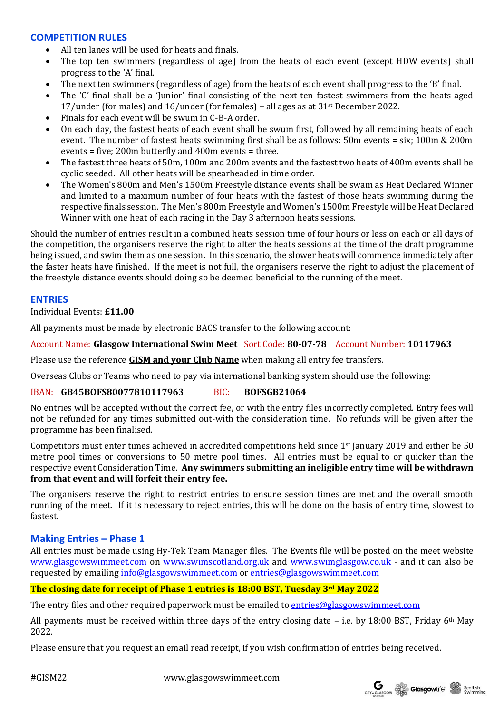#### **COMPETITION RULES**

- All ten lanes will be used for heats and finals.
- The top ten swimmers (regardless of age) from the heats of each event (except HDW events) shall progress to the 'A' final.
- The next ten swimmers (regardless of age) from the heats of each event shall progress to the 'B' final.
- The 'C' final shall be a 'Junior' final consisting of the next ten fastest swimmers from the heats aged 17/under (for males) and 16/under (for females) – all ages as at 31st December 2022.
- Finals for each event will be swum in C-B-A order.
- On each day, the fastest heats of each event shall be swum first, followed by all remaining heats of each event. The number of fastest heats swimming first shall be as follows: 50m events = six; 100m & 200m events = five; 200m butterfly and 400m events = three.
- The fastest three heats of 50m, 100m and 200m events and the fastest two heats of 400m events shall be cyclic seeded. All other heats will be spearheaded in time order.
- The Women's 800m and Men's 1500m Freestyle distance events shall be swam as Heat Declared Winner and limited to a maximum number of four heats with the fastest of those heats swimming during the respective finals session. The Men's 800m Freestyle and Women's 1500m Freestyle will be Heat Declared Winner with one heat of each racing in the Day 3 afternoon heats sessions.

Should the number of entries result in a combined heats session time of four hours or less on each or all days of the competition, the organisers reserve the right to alter the heats sessions at the time of the draft programme being issued, and swim them as one session. In this scenario, the slower heats will commence immediately after the faster heats have finished. If the meet is not full, the organisers reserve the right to adjust the placement of the freestyle distance events should doing so be deemed beneficial to the running of the meet.

#### **ENTRIES**

#### Individual Events: **£11.00**

All payments must be made by electronic BACS transfer to the following account:

#### Account Name: **Glasgow International Swim Meet** Sort Code: **80-07-78** Account Number: **10117963**

Please use the reference **GISM and your Club Name** when making all entry fee transfers.

Overseas Clubs or Teams who need to pay via international banking system should use the following:

#### IBAN: **GB45BOFS80077810117963** BIC: **BOFSGB21064**

No entries will be accepted without the correct fee, or with the entry files incorrectly completed. Entry fees will not be refunded for any times submitted out-with the consideration time. No refunds will be given after the programme has been finalised.

Competitors must enter times achieved in accredited competitions held since 1st January 2019 and either be 50 metre pool times or conversions to 50 metre pool times. All entries must be equal to or quicker than the respective event Consideration Time. **Any swimmers submitting an ineligible entry time will be withdrawn from that event and will forfeit their entry fee.**

The organisers reserve the right to restrict entries to ensure session times are met and the overall smooth running of the meet. If it is necessary to reject entries, this will be done on the basis of entry time, slowest to fastest.

#### **Making Entries – Phase 1**

All entries must be made using Hy-Tek Team Manager files. The Events file will be posted on the meet website [www.glasgowswimmeet.com](http://www.glasgowswimmeet.com/) on [www.swimscotland.org.uk](http://www.swimscotland.org.uk/) and [www.swimglasgow.co.uk](http://www.swimglasgow.co.uk/) - and it can also be requested by emailing [info@glasgowswimmeet.com](mailto:info@glasgowswimmeet.com) o[r entries@glasgowswimmeet.com](mailto:entries@glasgowswimmeet.com)

#### **The closing date for receipt of Phase 1 entries is 18:00 BST, Tuesday 3rd May 2022**

The entry files and other required paperwork must be emailed to **[entries@glasgowswimmeet.com](mailto:entries@glasgowswimmeet.com)** 

All payments must be received within three days of the entry closing date  $-$  i.e. by 18:00 BST, Friday 6<sup>th</sup> May 2022.

Please ensure that you request an email read receipt, if you wish confirmation of entries being received.

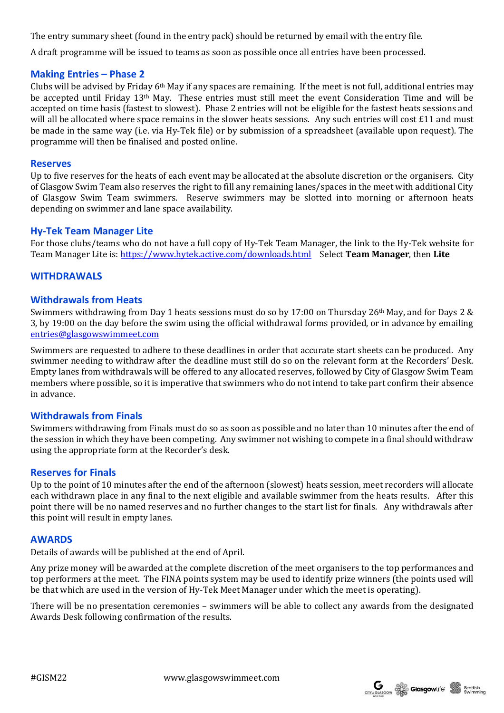The entry summary sheet (found in the entry pack) should be returned by email with the entry file.

A draft programme will be issued to teams as soon as possible once all entries have been processed.

#### **Making Entries – Phase 2**

Clubs will be advised by Friday 6th May if any spaces are remaining. If the meet is not full, additional entries may be accepted until Friday 13th May. These entries must still meet the event Consideration Time and will be accepted on time basis (fastest to slowest). Phase 2 entries will not be eligible for the fastest heats sessions and will all be allocated where space remains in the slower heats sessions. Any such entries will cost £11 and must be made in the same way (i.e. via Hy-Tek file) or by submission of a spreadsheet (available upon request). The programme will then be finalised and posted online.

#### **Reserves**

Up to five reserves for the heats of each event may be allocated at the absolute discretion or the organisers. City of Glasgow Swim Team also reserves the right to fill any remaining lanes/spaces in the meet with additional City of Glasgow Swim Team swimmers. Reserve swimmers may be slotted into morning or afternoon heats depending on swimmer and lane space availability.

#### **Hy-Tek Team Manager Lite**

For those clubs/teams who do not have a full copy of Hy-Tek Team Manager, the link to the Hy-Tek website for Team Manager Lite is:<https://www.hytek.active.com/downloads.html> Select **Team Manager**, then **Lite**

#### **WITHDRAWALS**

#### **Withdrawals from Heats**

Swimmers withdrawing from Day 1 heats sessions must do so by 17:00 on Thursday 26th May, and for Days 2 & 3, by 19:00 on the day before the swim using the official withdrawal forms provided, or in advance by emailing [entries@glasgowswimmeet.com](mailto:entries@glasgowswimmeet.com)

Swimmers are requested to adhere to these deadlines in order that accurate start sheets can be produced. Any swimmer needing to withdraw after the deadline must still do so on the relevant form at the Recorders' Desk. Empty lanes from withdrawals will be offered to any allocated reserves, followed by City of Glasgow Swim Team members where possible, so it is imperative that swimmers who do not intend to take part confirm their absence in advance.

#### **Withdrawals from Finals**

Swimmers withdrawing from Finals must do so as soon as possible and no later than 10 minutes after the end of the session in which they have been competing. Any swimmer not wishing to compete in a final should withdraw using the appropriate form at the Recorder's desk.

#### **Reserves for Finals**

Up to the point of 10 minutes after the end of the afternoon (slowest) heats session, meet recorders will allocate each withdrawn place in any final to the next eligible and available swimmer from the heats results. After this point there will be no named reserves and no further changes to the start list for finals. Any withdrawals after this point will result in empty lanes.

#### **AWARDS**

Details of awards will be published at the end of April.

Any prize money will be awarded at the complete discretion of the meet organisers to the top performances and top performers at the meet. The FINA points system may be used to identify prize winners (the points used will be that which are used in the version of Hy-Tek Meet Manager under which the meet is operating).

There will be no presentation ceremonies – swimmers will be able to collect any awards from the designated Awards Desk following confirmation of the results.

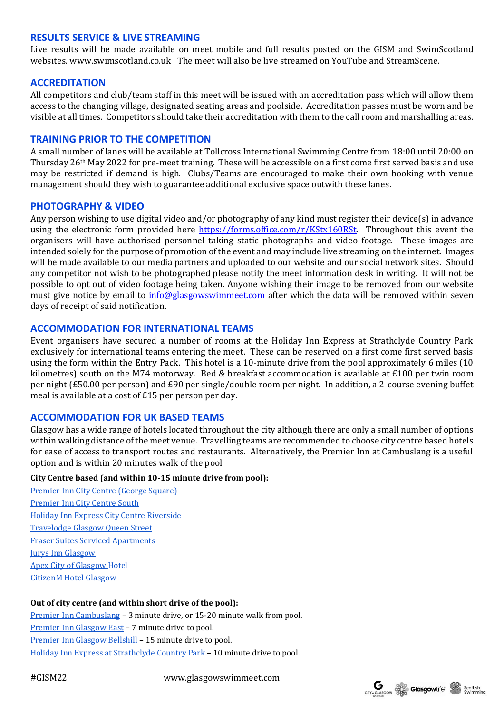#### **RESULTS SERVICE & LIVE STREAMING**

Live results will be made available on meet mobile and full results posted on the GISM and SwimScotland websites. www.swimscotland.co.uk The meet will also be live streamed on YouTube and StreamScene.

#### **ACCREDITATION**

All competitors and club/team staff in this meet will be issued with an accreditation pass which will allow them access to the changing village, designated seating areas and poolside. Accreditation passes must be worn and be visible at all times. Competitors should take their accreditation with them to the call room and marshalling areas.

#### **TRAINING PRIOR TO THE COMPETITION**

A small number of lanes will be available at Tollcross International Swimming Centre from 18:00 until 20:00 on Thursday 26th May 2022 for pre-meet training. These will be accessible on a first come first served basis and use may be restricted if demand is high. Clubs/Teams are encouraged to make their own booking with venue management should they wish to guarantee additional exclusive space outwith these lanes.

#### **PHOTOGRAPHY & VIDEO**

Any person wishing to use digital video and/or photography of any kind must register their device(s) in advance using the electronic form provided here [https://forms.office.com/r/KStx160RSt.](https://forms.office.com/r/KStx160RSt) Throughout this event the organisers will have authorised personnel taking static photographs and video footage. These images are intended solely for the purpose of promotion of the event and may include live streaming on the internet. Images will be made available to our media partners and uploaded to our website and our social network sites. Should any competitor not wish to be photographed please notify the meet information desk in writing. It will not be possible to opt out of video footage being taken. Anyone wishing their image to be removed from our website must give notice by email to  $info@glassowswimmeet.com$  after which the data will be removed within seven days of receipt of said notification.

#### **ACCOMMODATION FOR INTERNATIONAL TEAMS**

Event organisers have secured a number of rooms at the Holiday Inn Express at Strathclyde Country Park exclusively for international teams entering the meet. These can be reserved on a first come first served basis using the form within the Entry Pack. This hotel is a 10-minute drive from the pool approximately 6 miles (10 kilometres) south on the M74 motorway. Bed & breakfast accommodation is available at £100 per twin room per night (£50.00 per person) and £90 per single/double room per night. In addition, a 2-course evening buffet meal is available at a cost of £15 per person per day.

#### **ACCOMMODATION FOR UK BASED TEAMS**

Glasgow has a wide range of hotels located throughout the city although there are only a small number of options within walking distance of the meet venue. Travelling teams are recommended to choose city centre based hotels for ease of access to transport routes and restaurants. Alternatively, the Premier Inn at Cambuslang is a useful option and is within 20 minutes walk of the pool.

#### **City Centre based (and within 10-15 minute drive from pool):**

[Premier Inn City Centre \(George Square\)](https://www.premierinn.com/gb/en/hotels/scotland/strathclyde/glasgow/glasgow-city-centre-george-square.html?ARRdd=18&ARRmm=01&ARRyyyy=2018&ROOMS=1&ADULT1=1&CHILD1=0&COT1=0&INTTYP1=DB) [Premier Inn City Centre South](https://www.premierinn.com/gb/en/hotels/scotland/strathclyde/glasgow/glasgow-city-centre-south.html?ARRdd=18&ARRmm=01&ARRyyyy=2018&ROOMS=1&ADULT1=1&CHILD1=0&COT1=0&INTTYP1=DB) [Holiday Inn Express City Centre Riverside](https://www.ihg.com/holidayinnexpress/hotels/gb/en/glasgow/glwst/hoteldetail?qDest=Glasgow%2520Airport,%2520United%2520Kingdom&qCiD=18&qCoD=19&qCiMy=02018&qCoMy=02018&qAdlt=1&qChld=0&qRms=1&qWch=0&qSmP=1&qIta=99602090&qRtP=6CBARC&qAkamaiCC=US&srb_u=1&qSrt=sBR&qBrs=ic.ki.ul.in.cp.vn.hi.ex.cv.rs.cw.sb.) [Travelodge Glasgow Queen Street](https://www.travelodge.co.uk/hotels/593/Glasgow-Queen-Street-hotel?checkIn=21%2F01%2F18&checkOut=22%2F01%2F18&rooms%5B0%5D%5Badults%5D=2&rooms%5B0%5D%5Bchildren%5D=0&rooms%5B0%5D%5BrateType%5D=flexible&rooms%5B0%5D%5Bextras%5D%5B0%5D=&lozenges=&utm_source=GHF&utm_medium=GHF&utm_campaign=GB0137GHF&WT.tsrc=GHF) [Fraser Suites Serviced Apartments](https://glasgow.frasershospitality.com/en) [Jurys Inn Glasgow](https://www.jurysinns.com/hotels/glasgow) [Apex City of Glasgow](https://www.apexhotels.co.uk/apex-city-of-glasgow-hotel) Hotel [CitizenM](https://www.citizenm.com/destinations/glasgow/glasgow-hotel) Hotel Glasgow

#### **Out of city centre (and within short drive of the pool):**

[Premier Inn Cambuslang](https://www.premierinn.com/gb/en/hotels/scotland/strathclyde/glasgow/glasgow-cambuslangm74-j2a.html?ARRdd=18&ARRmm=01&ARRyyyy=2018&ROOMS=1&ADULT1=1&CHILD1=0&COT1=0&INTTYP1=DB) – 3 minute drive, or 15-20 minute walk from pool. [Premier Inn Glasgow East](https://www.premierinn.com/gb/en/hotels/scotland/strathclyde/glasgow/glasgow-east.html?ARRdd=18&ARRmm=01&ARRyyyy=2018&ROOMS=1&ADULT1=1&CHILD1=0&COT1=0&INTTYP1=DB) – 7 minute drive to pool. [Premier Inn Glasgow Bellshill](https://www.premierinn.com/gb/en/hotels/scotland/strathclyde/glasgow/glasgow-bellshill.html?ARRdd=18&ARRmm=01&ARRyyyy=2018&ROOMS=1&ADULT1=1&CHILD1=0&COT1=0&INTTYP1=DB) – 15 minute drive to pool. [Holiday Inn Express at Strathclyde Country Park](https://www.ihg.com/holidayinnexpress/hotels/gb/en/strathclyde/stdex/hoteldetail?qDest=Glasgow%2520Airport,%2520United%2520Kingdom&qCiD=18&qCoD=19&qCiMy=02018&qCoMy=02018&qAdlt=1&qChld=0&qRms=1&qWch=0&qSmP=1&qIta=99602090&qRtP=6CBARC&qAkamaiCC=US&srb_u=1&qSrt=sBR&qBrs=ic.ki.ul.in.cp.vn.hi.ex.cv.rs.cw.sb.) – 10 minute drive to pool.

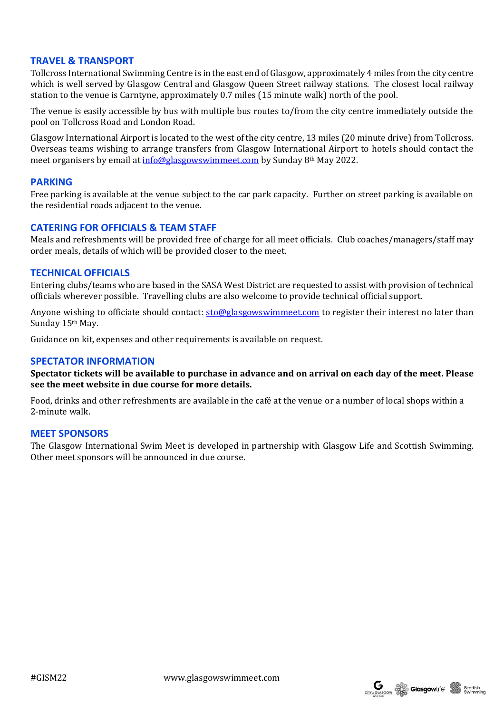#### **TRAVEL & TRANSPORT**

Tollcross International Swimming Centre is in the east end of Glasgow, approximately 4 miles from the city centre which is well served by Glasgow Central and Glasgow Queen Street railway stations. The closest local railway station to the venue is Carntyne, approximately 0.7 miles (15 minute walk) north of the pool.

The venue is easily accessible by bus with multiple bus routes to/from the city centre immediately outside the pool on Tollcross Road and London Road.

Glasgow International Airport is located to the west of the city centre, 13 miles (20 minute drive) from Tollcross. Overseas teams wishing to arrange transfers from Glasgow International Airport to hotels should contact the meet organisers by email at info@glasgowswimmeet.com by Sunday 8<sup>th</sup> May 2022.

#### **PARKING**

Free parking is available at the venue subject to the car park capacity. Further on street parking is available on the residential roads adjacent to the venue.

#### **CATERING FOR OFFICIALS & TEAM STAFF**

Meals and refreshments will be provided free of charge for all meet officials. Club coaches/managers/staff may order meals, details of which will be provided closer to the meet.

#### **TECHNICAL OFFICIALS**

Entering clubs/teams who are based in the SASA West District are requested to assist with provision of technical officials wherever possible. Travelling clubs are also welcome to provide technical official support.

Anyone wishing to officiate should contact: [sto@glasgowswimmeet.com](mailto:sto@glasgowswimmeet.com) to register their interest no later than Sunday 15th May.

Guidance on kit, expenses and other requirements is available on request.

#### **SPECTATOR INFORMATION**

**Spectator tickets will be available to purchase in advance and on arrival on each day of the meet. Please see the meet website in due course for more details.**

Food, drinks and other refreshments are available in the café at the venue or a number of local shops within a 2-minute walk.

#### **MEET SPONSORS**

The Glasgow International Swim Meet is developed in partnership with Glasgow Life and Scottish Swimming. Other meet sponsors will be announced in due course.